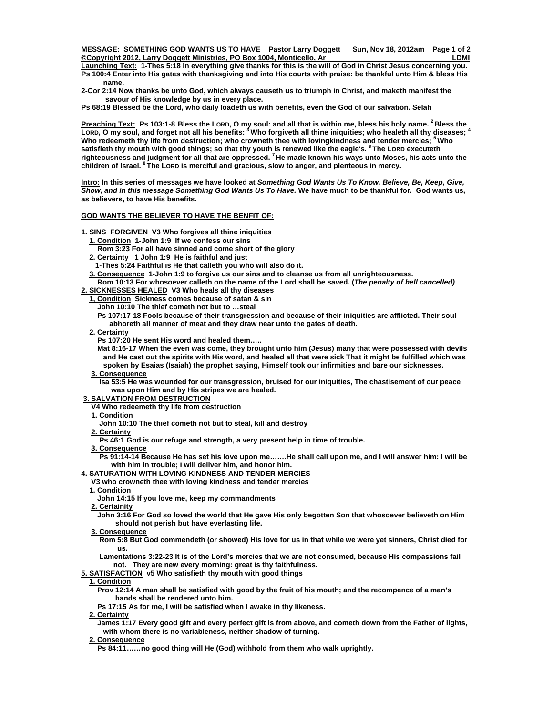**MESSAGE: SOMETHING GOD WANTS US TO HAVE Pastor Larry Doggett Sun, Nov 18, 2012am Page 1 of 2 Copyright 2012, Larry Doggett Ministries, PO Box 1004, Monticello, Ar Copyright 2012, LDMI** 

**Launching Text: 1-Thes 5:18 In everything give thanks for this is the will of God in Christ Jesus concerning you. Ps 100:4 Enter into His gates with thanksgiving and into His courts with praise: be thankful unto Him & bless His name.** 

**2-Cor 2:14 Now thanks be unto God, which always causeth us to triumph in Christ, and maketh manifest the savour of His knowledge by us in every place.** 

**Ps 68:19 Blessed be the Lord, who daily loadeth us with benefits, even the God of our salvation. Selah** 

Preaching Text: Ps 103:1-8 Bless the Lor.D, O my soul: and all that is within me, bless his holy name. <sup>2</sup> Bless the **LORD, O my soul, and forget not all his benefits: 3 Who forgiveth all thine iniquities; who healeth all thy diseases; 4 Who redeemeth thy life from destruction; who crowneth thee with lovingkindness and tender mercies; 5 Who satisfieth thy mouth with good things; so that thy youth is renewed like the eagle's. 6 The LORD executeth righteousness and judgment for all that are oppressed. 7 He made known his ways unto Moses, his acts unto the children of Israel. 8 The LORD is merciful and gracious, slow to anger, and plenteous in mercy.** 

**Intro: In this series of messages we have looked at** *Something God Wants Us To Know, Believe, Be, Keep, Give, Show, and in this message Something God Wants Us To Have.* **We have much to be thankful for. God wants us, as believers, to have His benefits.** 

## **GOD WANTS THE BELIEVER TO HAVE THE BENFIT OF:**

**1. SINS FORGIVEN V3 Who forgives all thine iniquities** 

- **1. Condition 1-John 1:9 If we confess our sins**
- **Rom 3:23 For all have sinned and come short of the glory**
- **2. Certainty 1 John 1:9 He is faithful and just**
- **1-Thes 5:24 Faithful is He that calleth you who will also do it.**
- **3. Consequence 1-John 1:9 to forgive us our sins and to cleanse us from all unrighteousness.**
- **Rom 10:13 For whosoever calleth on the name of the Lord shall be saved. (***The penalty of hell cancelled)*  **2. SICKNESSES HEALED V3 Who heals all thy diseases**

# **1, Condition Sickness comes because of satan & sin**

- 
- **John 10:10 The thief cometh not but to …steal**
- **Ps 107:17-18 Fools because of their transgression and because of their iniquities are afflicted. Their soul abhoreth all manner of meat and they draw near unto the gates of death.**
- **2. Certainty**
	- **Ps 107:20 He sent His word and healed them…..**

 **Mat 8:16-17 When the even was come, they brought unto him (Jesus) many that were possessed with devils and He cast out the spirits with His word, and healed all that were sick That it might be fulfilled which was spoken by Esaias (Isaiah) the prophet saying, Himself took our infirmities and bare our sicknesses.** 

### **3. Consequence**

 **Isa 53:5 He was wounded for our transgression, bruised for our iniquities, The chastisement of our peace was upon Him and by His stripes we are healed.** 

# **3. SALVATION FROM DESTRUCTION**

 **V4 Who redeemeth thy life from destruction** 

- **1. Condition**
	- **John 10:10 The thief cometh not but to steal, kill and destroy**
- **2. Certainty**
	- **Ps 46:1 God is our refuge and strength, a very present help in time of trouble.**
- **3. Consequence**

 **Ps 91:14-14 Because He has set his love upon me…….He shall call upon me, and I will answer him: I will be with him in trouble; I will deliver him, and honor him.** 

## **4. SATURATION WITH LOVING KINDNESS AND TENDER MERCIES**

 **V3 who crowneth thee with loving kindness and tender mercies** 

- **1. Condition**
- **John 14:15 If you love me, keep my commandments**
- **2. Certainity**

 **John 3:16 For God so loved the world that He gave His only begotten Son that whosoever believeth on Him should not perish but have everlasting life.** 

## **3. Consequence**

 **Rom 5:8 But God commendeth (or showed) His love for us in that while we were yet sinners, Christ died for us.** 

 **Lamentations 3:22-23 It is of the Lord's mercies that we are not consumed, because His compassions fail not. They are new every morning: great is thy faithfulness.** 

#### **5. SATISFACTION v5 Who satisfieth thy mouth with good things**

- **1. Condition**
	- **Prov 12:14 A man shall be satisfied with good by the fruit of his mouth; and the recompence of a man's hands shall be rendered unto him.**
	- **Ps 17:15 As for me, I will be satisfied when I awake in thy likeness.**
- **2. Certainty**

 **James 1:17 Every good gift and every perfect gift is from above, and cometh down from the Father of lights, with whom there is no variableness, neither shadow of turning.** 

## **2. Consequence**

 **Ps 84:11……no good thing will He (God) withhold from them who walk uprightly.**